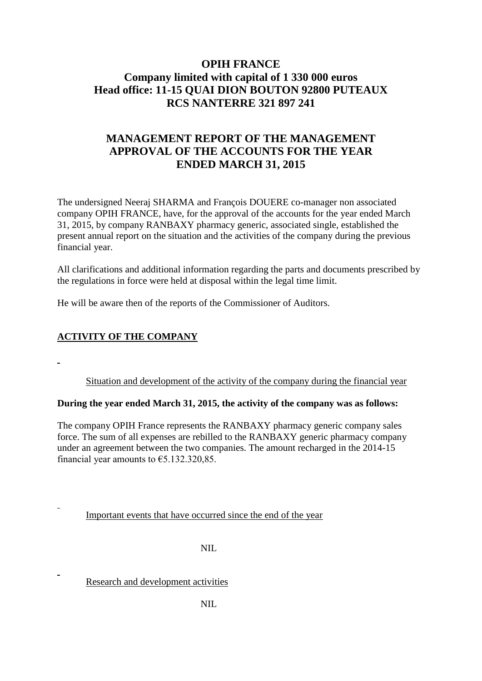# **OPIH FRANCE Company limited with capital of 1 330 000 euros Head office: 11-15 QUAI DION BOUTON 92800 PUTEAUX RCS NANTERRE 321 897 241**

# **MANAGEMENT REPORT OF THE MANAGEMENT APPROVAL OF THE ACCOUNTS FOR THE YEAR ENDED MARCH 31, 2015**

The undersigned Neeraj SHARMA and François DOUERE co-manager non associated company OPIH FRANCE, have, for the approval of the accounts for the year ended March 31, 2015, by company RANBAXY pharmacy generic, associated single, established the present annual report on the situation and the activities of the company during the previous financial year.

All clarifications and additional information regarding the parts and documents prescribed by the regulations in force were held at disposal within the legal time limit.

He will be aware then of the reports of the Commissioner of Auditors.

## **ACTIVITY OF THE COMPANY**

Situation and development of the activity of the company during the financial year

### **During the year ended March 31, 2015, the activity of the company was as follows:**

The company OPIH France represents the RANBAXY pharmacy generic company sales force. The sum of all expenses are rebilled to the RANBAXY generic pharmacy company under an agreement between the two companies. The amount recharged in the 2014-15 financial year amounts to  $\epsilon$ 5.132.320,85.

Important events that have occurred since the end of the year

NIL

Research and development activities

NIL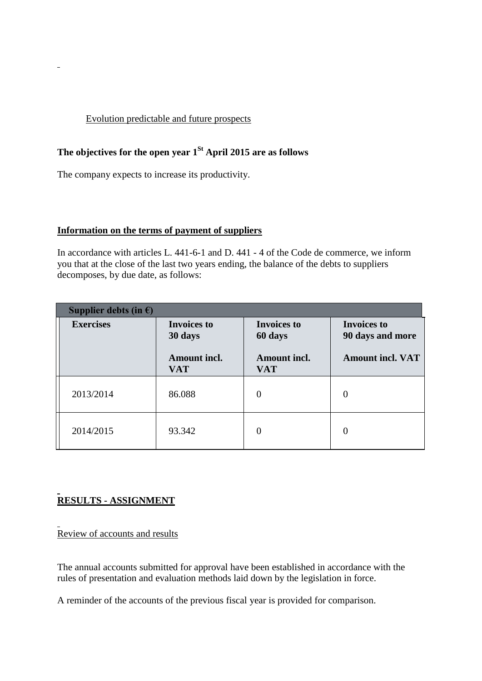### Evolution predictable and future prospects

# **The objectives for the open year 1St April 2015 are as follows**

The company expects to increase its productivity.

 $\sim$ 

#### **Information on the terms of payment of suppliers**

In accordance with articles L. 441-6-1 and D. 441 - 4 of the Code de commerce, we inform you that at the close of the last two years ending, the balance of the debts to suppliers decomposes, by due date, as follows:

| Supplier debts (in $\epsilon$ ) |                                   |                                   |                                        |
|---------------------------------|-----------------------------------|-----------------------------------|----------------------------------------|
| <b>Exercises</b>                | <b>Invoices to</b><br>30 days     | <b>Invoices to</b><br>60 days     | <b>Invoices to</b><br>90 days and more |
|                                 | <b>Amount incl.</b><br><b>VAT</b> | <b>Amount incl.</b><br><b>VAT</b> | <b>Amount incl. VAT</b>                |
| 2013/2014                       | 86.088                            | 0                                 | 0                                      |
| 2014/2015                       | 93.342                            | $\left( \right)$                  | $\theta$                               |

# **RESULTS - ASSIGNMENT**

Review of accounts and results

The annual accounts submitted for approval have been established in accordance with the rules of presentation and evaluation methods laid down by the legislation in force.

A reminder of the accounts of the previous fiscal year is provided for comparison.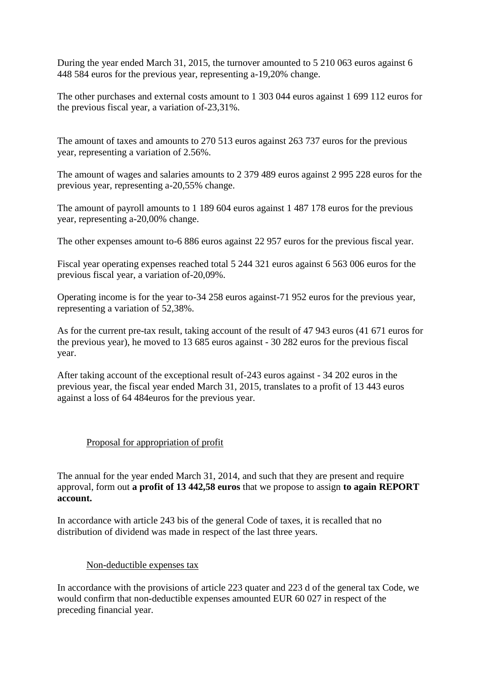During the year ended March 31, 2015, the turnover amounted to 5 210 063 euros against 6 448 584 euros for the previous year, representing a-19,20% change.

The other purchases and external costs amount to 1 303 044 euros against 1 699 112 euros for the previous fiscal year, a variation of-23,31%.

The amount of taxes and amounts to 270 513 euros against 263 737 euros for the previous year, representing a variation of 2.56%.

The amount of wages and salaries amounts to 2 379 489 euros against 2 995 228 euros for the previous year, representing a-20,55% change.

The amount of payroll amounts to 1 189 604 euros against 1 487 178 euros for the previous year, representing a-20,00% change.

The other expenses amount to-6 886 euros against 22 957 euros for the previous fiscal year.

Fiscal year operating expenses reached total 5 244 321 euros against 6 563 006 euros for the previous fiscal year, a variation of-20,09%.

Operating income is for the year to-34 258 euros against-71 952 euros for the previous year, representing a variation of 52,38%.

As for the current pre-tax result, taking account of the result of 47 943 euros (41 671 euros for the previous year), he moved to 13 685 euros against - 30 282 euros for the previous fiscal year.

After taking account of the exceptional result of-243 euros against - 34 202 euros in the previous year, the fiscal year ended March 31, 2015, translates to a profit of 13 443 euros against a loss of 64 484euros for the previous year.

### Proposal for appropriation of profit

The annual for the year ended March 31, 2014, and such that they are present and require approval, form out **a profit of 13 442,58 euros** that we propose to assign **to again REPORT account.**

In accordance with article 243 bis of the general Code of taxes, it is recalled that no distribution of dividend was made in respect of the last three years.

#### Non-deductible expenses tax

In accordance with the provisions of article 223 quater and 223 d of the general tax Code, we would confirm that non-deductible expenses amounted EUR 60 027 in respect of the preceding financial year.